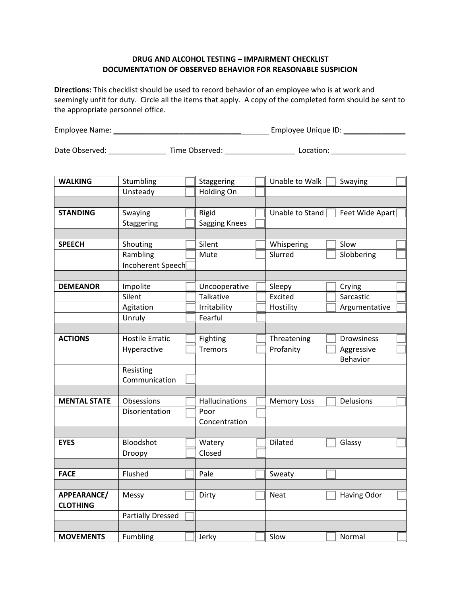## **DRUG AND ALCOHOL TESTING – IMPAIRMENT CHECKLIST DOCUMENTATION OF OBSERVED BEHAVIOR FOR REASONABLE SUSPICION**

**Directions:** This checklist should be used to record behavior of an employee who is at work and seemingly unfit for duty. Circle all the items that apply. A copy of the completed form should be sent to the appropriate personnel office.

| Employee Name: | Employee Unique ID: |  |
|----------------|---------------------|--|
|                |                     |  |

Date Observed: \_\_\_\_\_\_\_\_\_\_\_\_\_\_\_\_\_\_\_\_\_\_ Time Observed: \_\_\_\_\_\_\_\_\_\_\_\_\_\_\_\_\_\_\_\_\_\_\_\_\_\_\_ Location: \_\_\_\_\_\_\_\_\_\_\_\_\_\_\_\_\_\_\_

| <b>WALKING</b>      | Stumbling                | Staggering     | Unable to Walk     | Swaying            |  |
|---------------------|--------------------------|----------------|--------------------|--------------------|--|
|                     | Unsteady                 | Holding On     |                    |                    |  |
|                     |                          |                |                    |                    |  |
| <b>STANDING</b>     | Swaying                  | Rigid          | Unable to Stand    | Feet Wide Apart    |  |
|                     | Staggering               | Sagging Knees  |                    |                    |  |
|                     |                          |                |                    |                    |  |
| <b>SPEECH</b>       | Shouting                 | Silent         | Whispering         | Slow               |  |
|                     | Rambling                 | Mute           | Slurred            | Slobbering         |  |
|                     | Incoherent Speech        |                |                    |                    |  |
|                     |                          |                |                    |                    |  |
| <b>DEMEANOR</b>     | Impolite                 | Uncooperative  | Sleepy             | Crying             |  |
|                     | Silent                   | Talkative      | Excited            | Sarcastic          |  |
|                     | Agitation                | Irritability   | Hostility          | Argumentative      |  |
|                     | Unruly                   | Fearful        |                    |                    |  |
|                     |                          |                |                    |                    |  |
| <b>ACTIONS</b>      | <b>Hostile Erratic</b>   | Fighting       | Threatening        | <b>Drowsiness</b>  |  |
|                     | Hyperactive              | <b>Tremors</b> | Profanity          | Aggressive         |  |
|                     |                          |                |                    | Behavior           |  |
|                     | Resisting                |                |                    |                    |  |
|                     | Communication            |                |                    |                    |  |
|                     |                          |                |                    |                    |  |
| <b>MENTAL STATE</b> | Obsessions               | Hallucinations | <b>Memory Loss</b> | Delusions          |  |
|                     | Disorientation           | Poor           |                    |                    |  |
|                     |                          | Concentration  |                    |                    |  |
|                     |                          |                |                    |                    |  |
| <b>EYES</b>         | Bloodshot                | Watery         | Dilated            | Glassy             |  |
|                     | Droopy                   | Closed         |                    |                    |  |
|                     |                          |                |                    |                    |  |
| <b>FACE</b>         | Flushed                  | Pale           | Sweaty             |                    |  |
|                     |                          |                |                    |                    |  |
| APPEARANCE/         | Messy                    | Dirty          | <b>Neat</b>        | <b>Having Odor</b> |  |
| <b>CLOTHING</b>     |                          |                |                    |                    |  |
|                     | <b>Partially Dressed</b> |                |                    |                    |  |
|                     |                          |                |                    |                    |  |
| <b>MOVEMENTS</b>    | Fumbling                 | Jerky          | Slow               | Normal             |  |